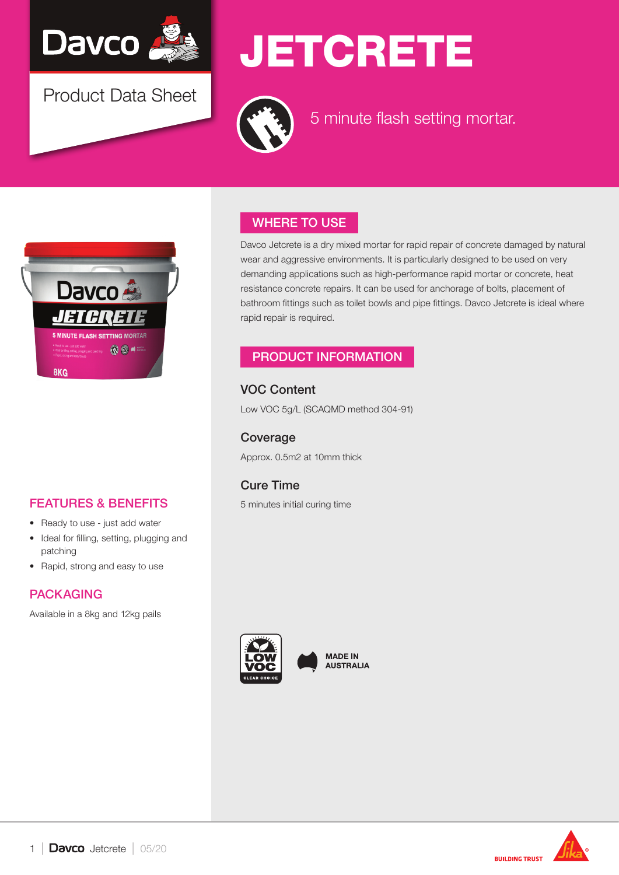

Product Data Sheet

# **JETCRETE**



5 minute flash setting mortar.



# FEATURES & BENEFITS

- Ready to use just add water
- Ideal for filling, setting, plugging and patching
- Rapid, strong and easy to use

# PACKAGING

Available in a 8kg and 12kg pails

# WHERE TO USE

Davco Jetcrete is a dry mixed mortar for rapid repair of concrete damaged by natural wear and aggressive environments. It is particularly designed to be used on very demanding applications such as high-performance rapid mortar or concrete, heat resistance concrete repairs. It can be used for anchorage of bolts, placement of bathroom fittings such as toilet bowls and pipe fittings. Davco Jetcrete is ideal where rapid repair is required.

### PRODUCT INFORMATION

VOC Content Low VOC 5g/L (SCAQMD method 304-91)

Coverage Approx. 0.5m2 at 10mm thick

# Cure Time

5 minutes initial curing time



**MADE IN AUSTRALIA** 

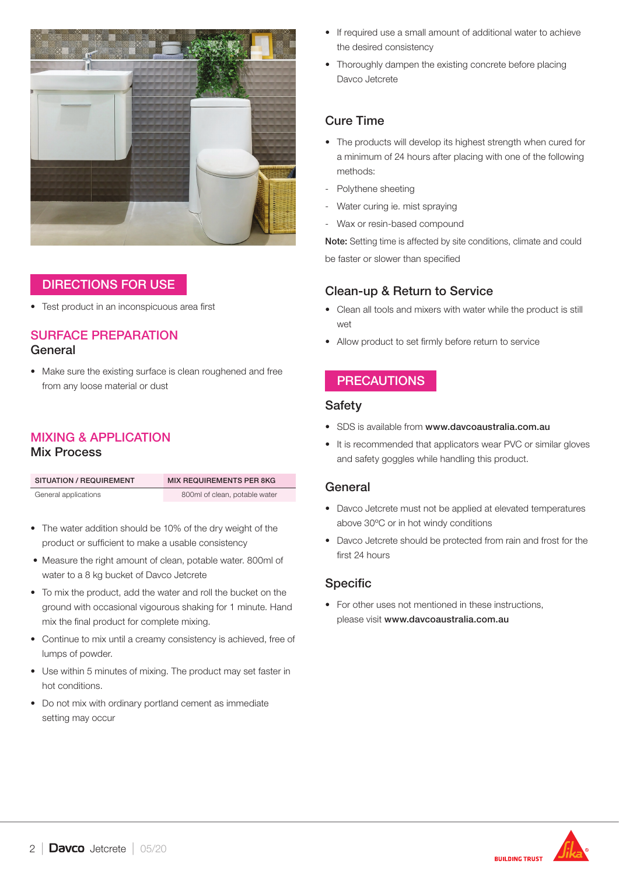

## DIRECTIONS FOR USE

• Test product in an inconspicuous area first

#### SURFACE PREPARATION General

• Make sure the existing surface is clean roughened and free from any loose material or dust

#### MIXING & APPLICATION Mix Process

| SITUATION / REQUIREMENT | <b>MIX REQUIREMENTS PER 8KG</b> |  |
|-------------------------|---------------------------------|--|
| General applications    | 800ml of clean, potable water   |  |

- The water addition should be 10% of the dry weight of the product or sufficient to make a usable consistency
- Measure the right amount of clean, potable water. 800ml of water to a 8 kg bucket of Davco Jetcrete
- To mix the product, add the water and roll the bucket on the ground with occasional vigourous shaking for 1 minute. Hand mix the final product for complete mixing.
- Continue to mix until a creamy consistency is achieved, free of lumps of powder.
- Use within 5 minutes of mixing. The product may set faster in hot conditions.
- Do not mix with ordinary portland cement as immediate setting may occur
- If required use a small amount of additional water to achieve the desired consistency
- Thoroughly dampen the existing concrete before placing Davco Jetcrete

## Cure Time

- The products will develop its highest strength when cured for a minimum of 24 hours after placing with one of the following methods:
- Polythene sheeting
- Water curing ie. mist spraying
- Wax or resin-based compound

Note: Setting time is affected by site conditions, climate and could be faster or slower than specified

#### Clean-up & Return to Service

- Clean all tools and mixers with water while the product is still wet
- Allow product to set firmly before return to service

## **PRECAUTIONS**

#### **Safety**

- SDS is available from www.davcoaustralia.com.au
- It is recommended that applicators wear PVC or similar gloves and safety goggles while handling this product.

#### General

- Davco Jetcrete must not be applied at elevated temperatures above 30ºC or in hot windy conditions
- Davco Jetcrete should be protected from rain and frost for the first 24 hours

### Specific

• For other uses not mentioned in these instructions, please visit www.davcoaustralia.com.au